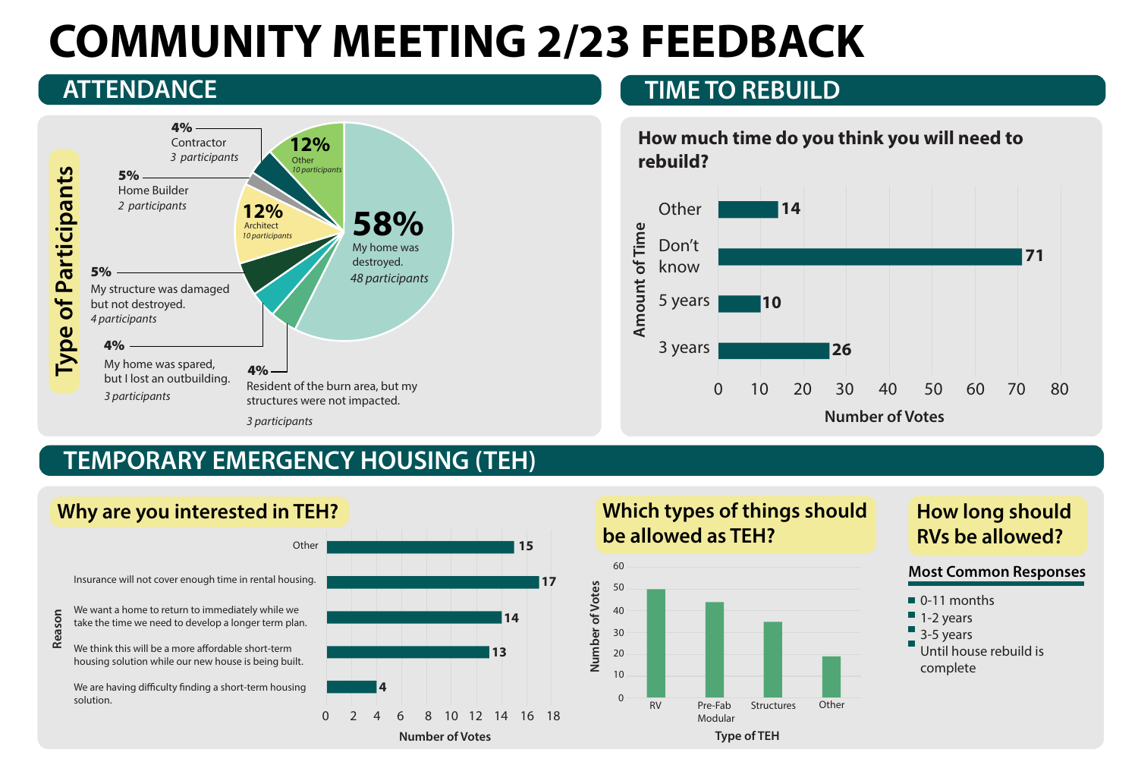# COMMUNITY MEETING 2/23 FEEDBACK **ATTENDANCE TIME TO REBUILD**



## TEMPORARY EMERGENCY HOUSING (TEH)



# **Which types of things should b**e allowed as TEH?

- 0-11 months
- $\blacksquare$  1-2 years
- 3-5 years
- Until house rebuild is complete



## **How long should RVs be allowed?**

### Most Common Responses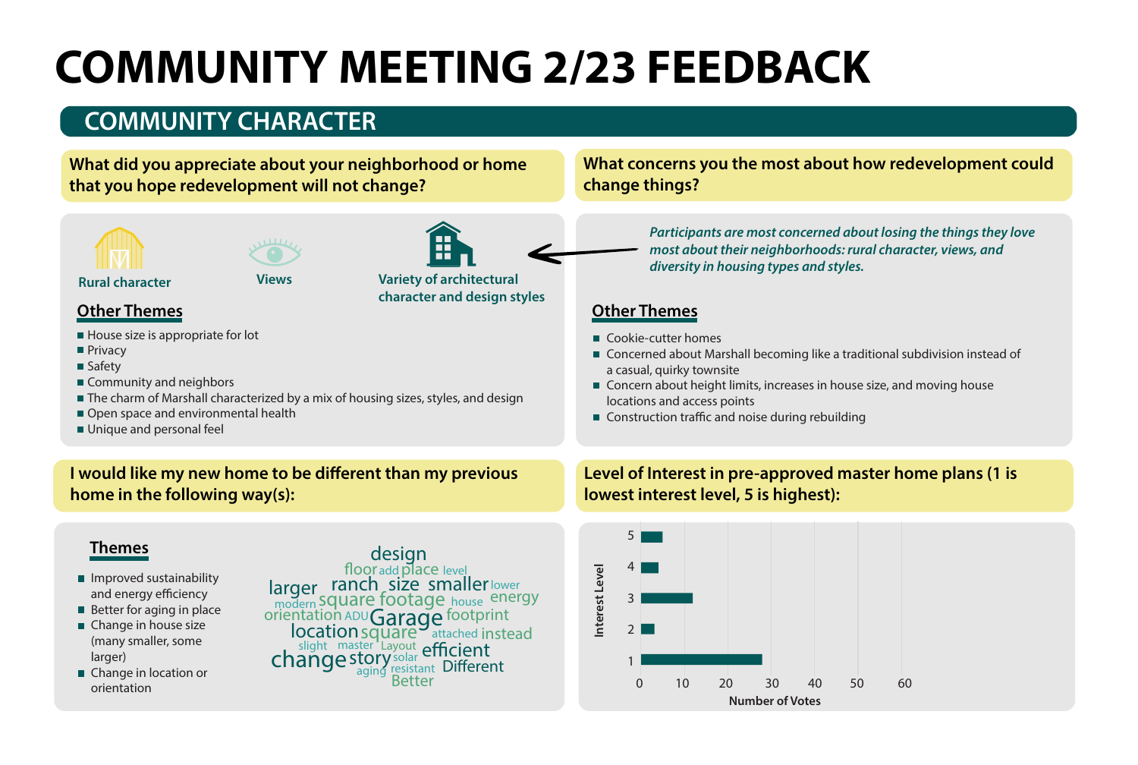# COMMUNITY MEETING 2/23 FEEDBACK

# **COMMUNITY CHARACTER**

### What did you appreciate about your neighborhood or home that you hope redevelopment will not change?

### What concerns you the most about how redevelopment could **\$( \$('**





- 
- 
-